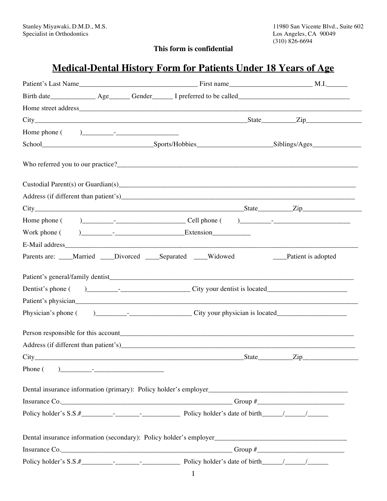# **This form is confidential**

# **Medical-Dental History Form for Patients Under 18 Years of Age**

|         |  |                                                                 |       | $City$ $City$ $Zip$ $Zip$ |
|---------|--|-----------------------------------------------------------------|-------|---------------------------|
|         |  |                                                                 |       |                           |
|         |  |                                                                 |       |                           |
|         |  |                                                                 |       |                           |
|         |  |                                                                 |       |                           |
|         |  |                                                                 |       |                           |
|         |  |                                                                 |       |                           |
|         |  |                                                                 |       |                           |
|         |  |                                                                 |       |                           |
|         |  |                                                                 |       |                           |
|         |  | Parents are: ____Married ____Divorced ____Separated ____Widowed |       | ___Patient is adopted     |
|         |  |                                                                 |       |                           |
|         |  |                                                                 |       |                           |
|         |  |                                                                 |       |                           |
|         |  |                                                                 |       |                           |
|         |  |                                                                 |       |                           |
|         |  |                                                                 |       |                           |
|         |  |                                                                 |       |                           |
| City    |  |                                                                 | State | Zip.                      |
| Phone ( |  |                                                                 |       |                           |
|         |  |                                                                 |       |                           |
|         |  |                                                                 |       |                           |
|         |  |                                                                 |       |                           |
|         |  |                                                                 |       |                           |
|         |  |                                                                 |       |                           |
|         |  |                                                                 |       |                           |
|         |  |                                                                 |       |                           |
|         |  |                                                                 |       |                           |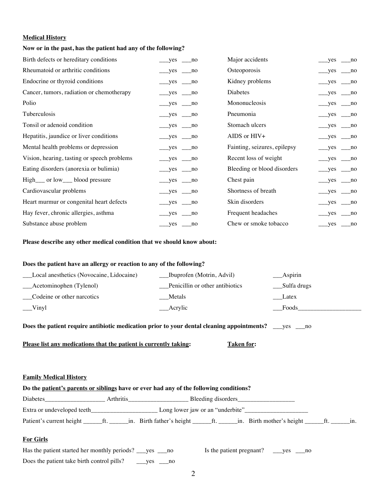#### **Medical History**

#### **Now or in the past, has the patient had any of the following?**

| Birth defects or hereditary conditions      | $yes$ no                   | Major accidents              | $\_\_\$ yes $\_\_\$ no                |
|---------------------------------------------|----------------------------|------------------------------|---------------------------------------|
| Rheumatoid or arthritic conditions          | $yes$ no                   | Osteoporosis                 | $\_\_$ yes $\_\_$ no                  |
| Endocrine or thyroid conditions             | $yes$ no                   | Kidney problems              | $yes$ no                              |
| Cancer, tumors, radiation or chemotherapy   | $\_\_\$ yes $\_\_\$ no     | Diabetes                     | $\_\_\$ yes $\_\_\$ no                |
| Polio                                       | $\_\text{yes} \_\text{no}$ | Mononucleosis                | $__yes__no$                           |
| Tuberculosis                                | $\_\_\$ yes $\_\_\$ no     | Pneumonia                    | $\_\_\$ yes $\_\_\$ no                |
| Tonsil or adenoid condition                 | $yes$ no                   | Stomach ulcers               | $yes$ no                              |
| Hepatitis, jaundice or liver conditions     | $yes$ no                   | AIDS or HIV+                 | $yes$ no                              |
| Mental health problems or depression        | $\_\_\$ yes $\_\_\$ no     | Fainting, seizures, epilepsy | $_{\text{meas}}$ yes $_{\text{meas}}$ |
| Vision, hearing, tasting or speech problems | $\_\_\$ yes $\_\_\$ no     | Recent loss of weight        | $\_\_\$ yes $\_\_\$ no                |
| Eating disorders (anorexia or bulimia)      | $yes$ no                   | Bleeding or blood disorders  | $yes \_ no$                           |
| High__ or low__ blood pressure              | $\_\_\$ yes $\_\_\$ no     | Chest pain                   | $yes$ no                              |
| Cardiovascular problems                     | $\_\$ yes $\_\$ no         | Shortness of breath          | $\_\_$ yes $\_\_$ no                  |
| Heart murmur or congenital heart defects    | $\_\_\$ yes $\_\_\$ no     | Skin disorders               | $\_\_\$ yes $\_\_\$ no                |
| Hay fever, chronic allergies, asthma        | $\_\$ yes $\_\$ no         | Frequent headaches           | $\_\_\$ yes $\_\_\$ no                |
| Substance abuse problem                     | $\_\_\$                    | Chew or smoke tobacco        | $\_\_\text{yes}$ $\_\text{no}$        |

**Please describe any other medical condition that we should know about:**

#### **Does the patient have an allergy or reaction to any of the following?**

| Local anesthetics (Novocaine, Lidocaine) | ___Ibuprofen (Motrin, Advil)    | $\_\_\$      |
|------------------------------------------|---------------------------------|--------------|
| ___Acetominophen (Tylenol)               | Penicillin or other antibiotics | _Sulfa drugs |
| Codeine or other narcotics               | Metals                          | Latex        |
| $\equiv$ Vinyl                           | __Acrylic                       | Foods        |
|                                          |                                 |              |

**Does the patient require antibiotic medication prior to your dental cleaning appointments?** \_\_\_yes \_\_\_no

**Please list any medications that the patient is currently taking:** Taken for:

### **Family Medical History**

| Do the patient's parents or siblings have or ever had any of the following conditions? |           |                                  |                    |  |  |  |
|----------------------------------------------------------------------------------------|-----------|----------------------------------|--------------------|--|--|--|
| Diabetes                                                                               | Arthritis |                                  | Bleeding disorders |  |  |  |
| Extra or undeveloped teeth                                                             |           | Long lower jaw or an "underbite" |                    |  |  |  |
|                                                                                        |           |                                  |                    |  |  |  |

# **For Girls**

| Has the patient started her monthly periods? ___ yes ___ no |              |  |  |
|-------------------------------------------------------------|--------------|--|--|
| Does the patient take birth control pills?                  | $\equiv$ yes |  |  |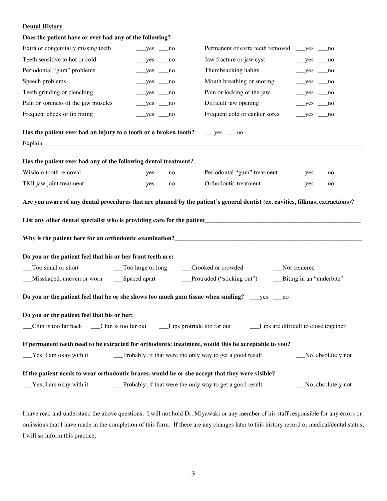# **Dental History**

#### **Does the patient have or ever had any of the following?**

| Extra or congenitally missing teeth                                                                                     | $__yes__no$ |  | Permanent or extra teeth removed ____yes _____no                                                    |                                                  |                    |
|-------------------------------------------------------------------------------------------------------------------------|-------------|--|-----------------------------------------------------------------------------------------------------|--------------------------------------------------|--------------------|
| Teeth sensitive to hot or cold                                                                                          | $__yes__no$ |  | Jaw fracture or jaw cyst                                                                            | $\rule{1em}{0.15mm}$ yes $\rule{1em}{0.15mm}$ no |                    |
| Periodontal "gum" problems                                                                                              | $__yes__no$ |  | Thumbsucking habits                                                                                 | $\rule{1em}{0.15mm}$ yes $\rule{1em}{0.15mm}$ no |                    |
| Speech problems                                                                                                         | $__yes__no$ |  | Mouth breathing or snoring                                                                          | $__yes__no$                                      |                    |
| Teeth grinding or clenching                                                                                             | $yes$ no    |  | Pain or locking of the jaw                                                                          | $\rule{1em}{0.15mm}$ yes $\rule{1em}{0.15mm}$ no |                    |
| Pain or soreness of the jaw muscles                                                                                     | $__yes__no$ |  | Difficult jaw opening                                                                               | $__yes__no$                                      |                    |
| Frequent cheek or lip biting                                                                                            | $__yes__no$ |  | Frequent cold or canker sores                                                                       | $__yes__no$                                      |                    |
| Has the patient ever had an injury to a tooth or a broken tooth?                                                        |             |  | $__yes__no$                                                                                         |                                                  |                    |
|                                                                                                                         |             |  |                                                                                                     |                                                  |                    |
| Has the patient ever had any of the following dental treatment?                                                         |             |  |                                                                                                     |                                                  |                    |
| Wisdom tooth removal                                                                                                    | $yes$ no    |  |                                                                                                     |                                                  |                    |
| TMJ jaw joint treatment                                                                                                 | $__yes__no$ |  | Orthodontic treatment                                                                               | $__yes__no$                                      |                    |
| Do you or the patient feel that his or her front teeth are:                                                             |             |  |                                                                                                     |                                                  |                    |
| __Too small or short                                                                                                    |             |  | __Too large or long _____Crooked or crowded                                                         | __Not centered                                   |                    |
| __Misshaped, uneven or worn _____Spaced apart _______________Protruded ("sticking out") _______Biting in an "underbite" |             |  |                                                                                                     |                                                  |                    |
|                                                                                                                         |             |  | Do you or the patient feel that he or she shows too much gum tissue when smiling? __yes _____ no    |                                                  |                    |
| Do you or the patient feel that his or her:                                                                             |             |  |                                                                                                     |                                                  |                    |
|                                                                                                                         |             |  |                                                                                                     |                                                  |                    |
|                                                                                                                         |             |  | If permanent teeth need to be extracted for orthodontic treatment, would this be acceptable to you? |                                                  |                    |
| $Yes$ , I am okay with it                                                                                               |             |  | __Probably, if that were the only way to get a good result                                          |                                                  | No, absolutely not |
|                                                                                                                         |             |  | If the patient needs to wear orthodontic braces, would he or she accept that they were visible?     |                                                  |                    |
| Yes, I am okay with it                                                                                                  |             |  |                                                                                                     |                                                  |                    |

I have read and understand the above questions. I will not hold Dr. Miyawaki or any member of his staff responsible for any errors or omissions that I have made in the completion of this form. If there are any changes later to this history record or medical/dental status, I will so inform this practice.